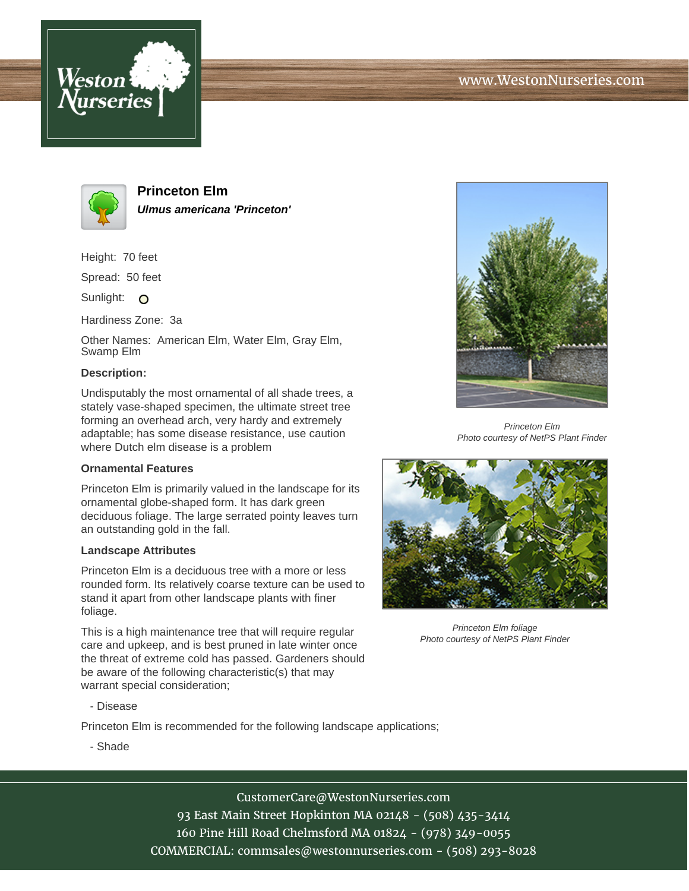



**Princeton Elm Ulmus americana 'Princeton'**

Height: 70 feet

Spread: 50 feet

Sunlight: O

Hardiness Zone: 3a

Other Names: American Elm, Water Elm, Gray Elm, Swamp Elm

### **Description:**

Undisputably the most ornamental of all shade trees, a stately vase-shaped specimen, the ultimate street tree forming an overhead arch, very hardy and extremely adaptable; has some disease resistance, use caution where Dutch elm disease is a problem

### **Ornamental Features**

Princeton Elm is primarily valued in the landscape for its ornamental globe-shaped form. It has dark green deciduous foliage. The large serrated pointy leaves turn an outstanding gold in the fall.

### **Landscape Attributes**

Princeton Elm is a deciduous tree with a more or less rounded form. Its relatively coarse texture can be used to stand it apart from other landscape plants with finer foliage.

This is a high maintenance tree that will require regular care and upkeep, and is best pruned in late winter once the threat of extreme cold has passed. Gardeners should be aware of the following characteristic(s) that may warrant special consideration;



Princeton Elm Photo courtesy of NetPS Plant Finder



Princeton Elm foliage Photo courtesy of NetPS Plant Finder

- Disease

Princeton Elm is recommended for the following landscape applications;

- Shade

# CustomerCare@WestonNurseries.com

93 East Main Street Hopkinton MA 02148 - (508) 435-3414 160 Pine Hill Road Chelmsford MA 01824 - (978) 349-0055 COMMERCIAL: commsales@westonnurseries.com - (508) 293-8028